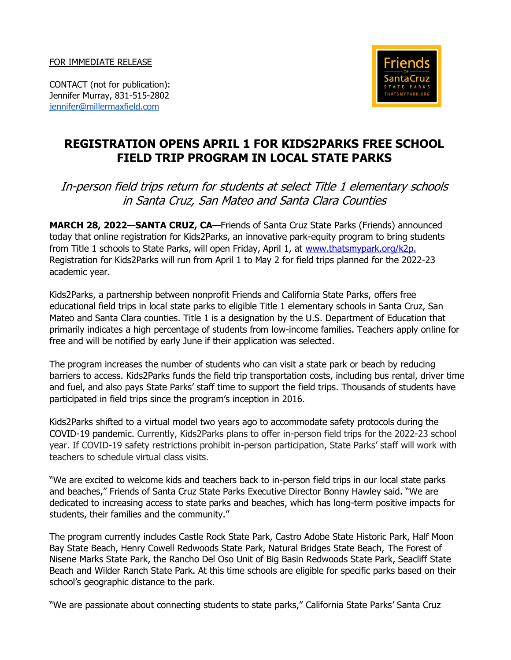FOR IMMEDIATE RELEASE



CONTACT (not for publication): Jennifer Murray, 831-515-2802 [jennifer@millermaxfield.com](mailto:jennifer@millermaxfield.com)

## **REGISTRATION OPENS APRIL 1 FOR KIDS2PARKS FREE SCHOOL FIELD TRIP PROGRAM IN LOCAL STATE PARKS**

## In-person field trips return for students at select Title 1 elementary schools in Santa Cruz, San Mateo and Santa Clara Counties

**MARCH 28, 2022—SANTA CRUZ, CA**—Friends of Santa Cruz State Parks (Friends) announced today that online registration for Kids2Parks, an innovative park-equity program to bring students from Title 1 schools to State Parks, will open Friday, April 1, at [www.thatsmypark.org/k2p.](http://www.thatsmypark.org/k2p.) Registration for Kids2Parks will run from April 1 to May 2 for field trips planned for the 2022-23 academic year.

Kids2Parks, a partnership between nonprofit Friends and California State Parks, offers free educational field trips in local state parks to eligible Title 1 elementary schools in Santa Cruz, San Mateo and Santa Clara counties. Title 1 is a designation by the U.S. Department of Education that primarily indicates a high percentage of students from low-income families. Teachers apply online for free and will be notified by early June if their application was selected.

The program increases the number of students who can visit a state park or beach by reducing barriers to access. Kids2Parks funds the field trip transportation costs, including bus rental, driver time and fuel, and also pays State Parks' staff time to support the field trips. Thousands of students have participated in field trips since the program's inception in 2016.

Kids2Parks shifted to a virtual model two years ago to accommodate safety protocols during the COVID-19 pandemic. Currently, Kids2Parks plans to offer in-person field trips for the 2022-23 school year. If COVID-19 safety restrictions prohibit in-person participation, State Parks' staff will work with teachers to schedule virtual class visits.

"We are excited to welcome kids and teachers back to in-person field trips in our local state parks and beaches," Friends of Santa Cruz State Parks Executive Director Bonny Hawley said. "We are dedicated to increasing access to state parks and beaches, which has long-term positive impacts for students, their families and the community."

The program currently includes Castle Rock State Park, Castro Adobe State Historic Park, Half Moon Bay State Beach, Henry Cowell Redwoods State Park, Natural Bridges State Beach, The Forest of Nisene Marks State Park, the Rancho Del Oso Unit of Big Basin Redwoods State Park, Seacliff State Beach and Wilder Ranch State Park. At this time schools are eligible for specific parks based on their school's geographic distance to the park.

"We are passionate about connecting students to state parks," California State Parks' Santa Cruz